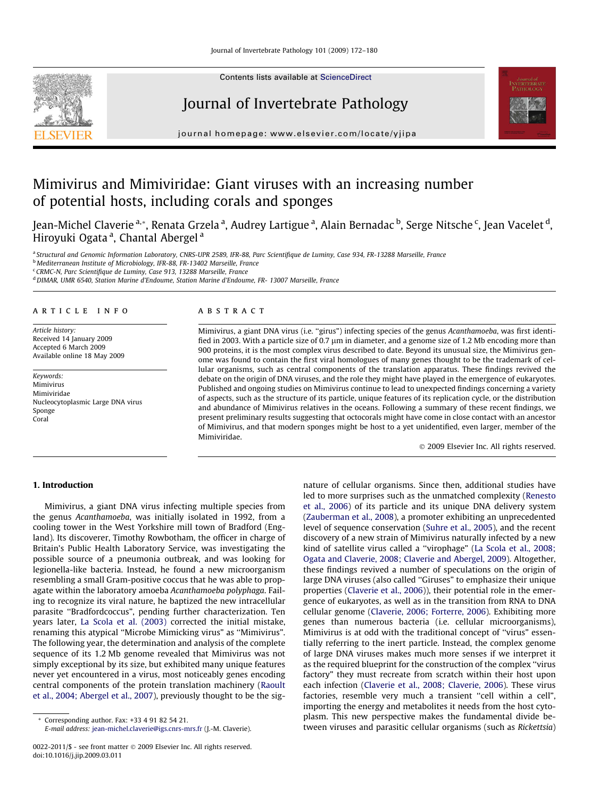Contents lists available at [ScienceDirect](http://www.sciencedirect.com/science/journal/00222011)

# Journal of Invertebrate Pathology



journal homepage: [www.elsevier.com/locate/yjipa](http://www.elsevier.com/locate/yjipa)

# Mimivirus and Mimiviridae: Giant viruses with an increasing number of potential hosts, including corals and sponges

Jean-Michel Claverie <sup>a,</sup>\*, Renata Grzela <sup>a</sup>, Audrey Lartigue <sup>a</sup>, Alain Bernadac <sup>b</sup>, Serge Nitsche <sup>c</sup>, Jean Vacelet <sup>d</sup>, Hiroyuki Ogata <sup>a</sup>, Chantal Abergel <sup>a</sup>

a Structural and Genomic Information Laboratory, CNRS-UPR 2589, IFR-88, Parc Scientifique de Luminy, Case 934, FR-13288 Marseille, France

<sup>b</sup> Mediterranean Institute of Microbiology, IFR-88, FR-13402 Marseille, France

<sup>c</sup> CRMC-N, Parc Scientifique de Luminy, Case 913, 13288 Marseille, France

<sup>d</sup> DIMAR, UMR 6540, Station Marine d'Endoume, Station Marine d'Endoume, FR- 13007 Marseille, France

## article info

Article history: Received 14 January 2009 Accepted 6 March 2009 Available online 18 May 2009

Keywords: Mimivirus Mimiviridae Nucleocytoplasmic Large DNA virus Sponge Coral

## **ABSTRACT**

Mimivirus, a giant DNA virus (i.e. ''girus") infecting species of the genus Acanthamoeba, was first identified in 2003. With a particle size of 0.7  $\mu$ m in diameter, and a genome size of 1.2 Mb encoding more than 900 proteins, it is the most complex virus described to date. Beyond its unusual size, the Mimivirus genome was found to contain the first viral homologues of many genes thought to be the trademark of cellular organisms, such as central components of the translation apparatus. These findings revived the debate on the origin of DNA viruses, and the role they might have played in the emergence of eukaryotes. Published and ongoing studies on Mimivirus continue to lead to unexpected findings concerning a variety of aspects, such as the structure of its particle, unique features of its replication cycle, or the distribution and abundance of Mimivirus relatives in the oceans. Following a summary of these recent findings, we present preliminary results suggesting that octocorals might have come in close contact with an ancestor of Mimivirus, and that modern sponges might be host to a yet unidentified, even larger, member of the Mimiviridae.

© 2009 Elsevier Inc. All rights reserved.

### 1. Introduction

Mimivirus, a giant DNA virus infecting multiple species from the genus Acanthamoeba, was initially isolated in 1992, from a cooling tower in the West Yorkshire mill town of Bradford (England). Its discoverer, Timothy Rowbotham, the officer in charge of Britain's Public Health Laboratory Service, was investigating the possible source of a pneumonia outbreak, and was looking for legionella-like bacteria. Instead, he found a new microorganism resembling a small Gram-positive coccus that he was able to propagate within the laboratory amoeba Acanthamoeba polyphaga. Failing to recognize its viral nature, he baptized the new intracellular parasite ''Bradfordcoccus", pending further characterization. Ten years later, [La Scola et al. \(2003\)](#page-7-0) corrected the initial mistake, renaming this atypical ''Microbe Mimicking virus" as ''Mimivirus". The following year, the determination and analysis of the complete sequence of its 1.2 Mb genome revealed that Mimivirus was not simply exceptional by its size, but exhibited many unique features never yet encountered in a virus, most noticeably genes encoding central components of the protein translation machinery [\(Raoult](#page-8-0) [et al., 2004; Abergel et al., 2007](#page-8-0)), previously thought to be the sig-

\* Corresponding author. Fax: +33 4 91 82 54 21.

E-mail address: [jean-michel.claverie@igs.cnrs-mrs.fr](mailto:jean-michel.claverie@igs.cnrs-mrs.fr) (J.-M. Claverie).

nature of cellular organisms. Since then, additional studies have led to more surprises such as the unmatched complexity ([Renesto](#page-8-0) [et al., 2006](#page-8-0)) of its particle and its unique DNA delivery system ([Zauberman et al., 2008\)](#page-8-0), a promoter exhibiting an unprecedented level of sequence conservation ([Suhre et al., 2005](#page-8-0)), and the recent discovery of a new strain of Mimivirus naturally infected by a new kind of satellite virus called a ''virophage" [\(La Scola et al., 2008;](#page-7-0) [Ogata and Claverie, 2008; Claverie and Abergel, 2009\)](#page-7-0). Altogether, these findings revived a number of speculations on the origin of large DNA viruses (also called ''Giruses" to emphasize their unique properties ([Claverie et al., 2006\)](#page-7-0)), their potential role in the emergence of eukaryotes, as well as in the transition from RNA to DNA cellular genome [\(Claverie, 2006; Forterre, 2006](#page-7-0)). Exhibiting more genes than numerous bacteria (i.e. cellular microorganisms), Mimivirus is at odd with the traditional concept of ''virus" essentially referring to the inert particle. Instead, the complex genome of large DNA viruses makes much more senses if we interpret it as the required blueprint for the construction of the complex ''virus factory" they must recreate from scratch within their host upon each infection [\(Claverie et al., 2008; Claverie, 2006](#page-7-0)). These virus factories, resemble very much a transient "cell within a cell", importing the energy and metabolites it needs from the host cytoplasm. This new perspective makes the fundamental divide between viruses and parasitic cellular organisms (such as Rickettsia)

<sup>0022-2011/\$ -</sup> see front matter © 2009 Elsevier Inc. All rights reserved. doi:10.1016/j.jip.2009.03.011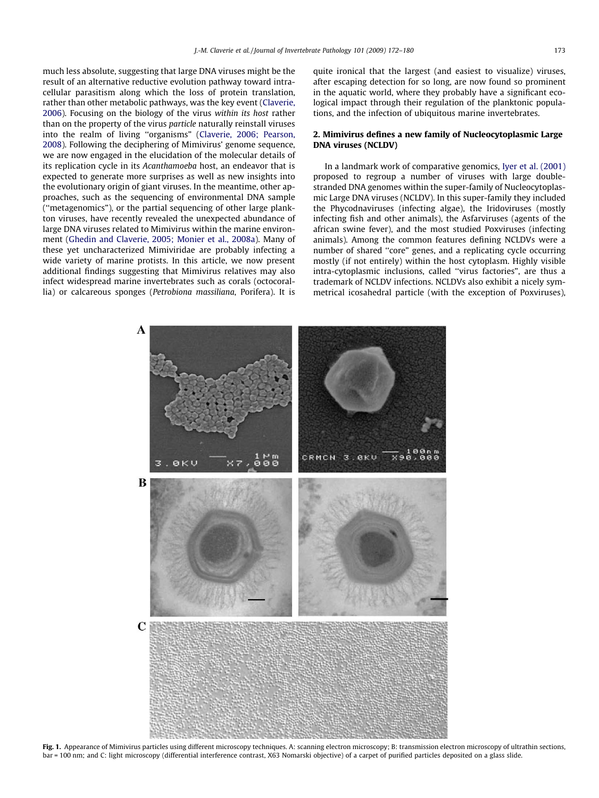<span id="page-1-0"></span>much less absolute, suggesting that large DNA viruses might be the result of an alternative reductive evolution pathway toward intracellular parasitism along which the loss of protein translation, rather than other metabolic pathways, was the key event [\(Claverie,](#page-7-0) [2006](#page-7-0)). Focusing on the biology of the virus within its host rather than on the property of the virus particle naturally reinstall viruses into the realm of living ''organisms" [\(Claverie, 2006; Pearson,](#page-7-0) [2008](#page-7-0)). Following the deciphering of Mimivirus' genome sequence, we are now engaged in the elucidation of the molecular details of its replication cycle in its Acanthamoeba host, an endeavor that is expected to generate more surprises as well as new insights into the evolutionary origin of giant viruses. In the meantime, other approaches, such as the sequencing of environmental DNA sample (''metagenomics"), or the partial sequencing of other large plankton viruses, have recently revealed the unexpected abundance of large DNA viruses related to Mimivirus within the marine environment [\(Ghedin and Claverie, 2005; Monier et al., 2008a\)](#page-7-0). Many of these yet uncharacterized Mimiviridae are probably infecting a wide variety of marine protists. In this article, we now present additional findings suggesting that Mimivirus relatives may also infect widespread marine invertebrates such as corals (octocorallia) or calcareous sponges (Petrobiona massiliana, Porifera). It is quite ironical that the largest (and easiest to visualize) viruses, after escaping detection for so long, are now found so prominent in the aquatic world, where they probably have a significant ecological impact through their regulation of the planktonic populations, and the infection of ubiquitous marine invertebrates.

### 2. Mimivirus defines a new family of Nucleocytoplasmic Large DNA viruses (NCLDV)

In a landmark work of comparative genomics, [Iyer et al. \(2001\)](#page-7-0) proposed to regroup a number of viruses with large doublestranded DNA genomes within the super-family of Nucleocytoplasmic Large DNA viruses (NCLDV). In this super-family they included the Phycodnaviruses (infecting algae), the Iridoviruses (mostly infecting fish and other animals), the Asfarviruses (agents of the african swine fever), and the most studied Poxviruses (infecting animals). Among the common features defining NCLDVs were a number of shared ''core" genes, and a replicating cycle occurring mostly (if not entirely) within the host cytoplasm. Highly visible intra-cytoplasmic inclusions, called ''virus factories", are thus a trademark of NCLDV infections. NCLDVs also exhibit a nicely symmetrical icosahedral particle (with the exception of Poxviruses),



Fig. 1. Appearance of Mimivirus particles using different microscopy techniques. A: scanning electron microscopy; B: transmission electron microscopy of ultrathin sections, bar = 100 nm; and C: light microscopy (differential interference contrast, X63 Nomarski objective) of a carpet of purified particles deposited on a glass slide.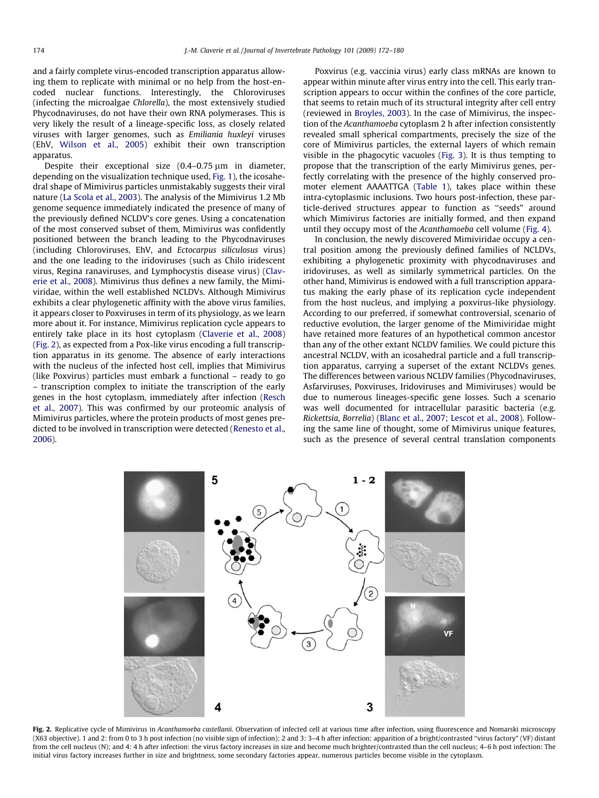and a fairly complete virus-encoded transcription apparatus allowing them to replicate with minimal or no help from the host-encoded nuclear functions. Interestingly, the Chloroviruses (infecting the microalgae Chlorella), the most extensively studied Phycodnaviruses, do not have their own RNA polymerases. This is very likely the result of a lineage-specific loss, as closely related viruses with larger genomes, such as Emiliania huxleyi viruses (EhV, [Wilson et al., 2005](#page-8-0)) exhibit their own transcription apparatus.

Despite their exceptional size  $(0.4-0.75 \,\mathrm{\upmu m})$  in diameter, depending on the visualization technique used, [Fig. 1](#page-1-0)), the icosahedral shape of Mimivirus particles unmistakably suggests their viral nature ([La Scola et al., 2003\)](#page-7-0). The analysis of the Mimivirus 1.2 Mb genome sequence immediately indicated the presence of many of the previously defined NCLDV's core genes. Using a concatenation of the most conserved subset of them, Mimivirus was confidently positioned between the branch leading to the Phycodnaviruses (including Chloroviruses, EhV, and Ectocarpus siliculosus virus) and the one leading to the iridoviruses (such as Chilo iridescent virus, Regina ranaviruses, and Lymphocystis disease virus) [\(Clav](#page-7-0)[erie et al., 2008](#page-7-0)). Mimivirus thus defines a new family, the Mimiviridae, within the well established NCLDVs. Although Mimivirus exhibits a clear phylogenetic affinity with the above virus families, it appears closer to Poxviruses in term of its physiology, as we learn more about it. For instance, Mimivirus replication cycle appears to entirely take place in its host cytoplasm [\(Claverie et al., 2008\)](#page-7-0) (Fig. 2), as expected from a Pox-like virus encoding a full transcription apparatus in its genome. The absence of early interactions with the nucleus of the infected host cell, implies that Mimivirus (like Poxvirus) particles must embark a functional – ready to go – transcription complex to initiate the transcription of the early genes in the host cytoplasm, immediately after infection ([Resch](#page-8-0) [et al., 2007\)](#page-8-0). This was confirmed by our proteomic analysis of Mimivirus particles, where the protein products of most genes predicted to be involved in transcription were detected [\(Renesto et al.,](#page-8-0) [2006\)](#page-8-0).

Poxvirus (e.g. vaccinia virus) early class mRNAs are known to appear within minute after virus entry into the cell. This early transcription appears to occur within the confines of the core particle, that seems to retain much of its structural integrity after cell entry (reviewed in [Broyles, 2003](#page-7-0)). In the case of Mimivirus, the inspection of the Acanthamoeba cytoplasm 2 h after infection consistently revealed small spherical compartments, precisely the size of the core of Mimivirus particles, the external layers of which remain visible in the phagocytic vacuoles [\(Fig. 3](#page-3-0)). It is thus tempting to propose that the transcription of the early Mimivirus genes, perfectly correlating with the presence of the highly conserved promoter element AAAATTGA [\(Table 1](#page-4-0)), takes place within these intra-cytoplasmic inclusions. Two hours post-infection, these particle-derived structures appear to function as ''seeds" around which Mimivirus factories are initially formed, and then expand until they occupy most of the Acanthamoeba cell volume [\(Fig. 4\)](#page-4-0).

In conclusion, the newly discovered Mimiviridae occupy a central position among the previously defined families of NCLDVs, exhibiting a phylogenetic proximity with phycodnaviruses and iridoviruses, as well as similarly symmetrical particles. On the other hand, Mimivirus is endowed with a full transcription apparatus making the early phase of its replication cycle independent from the host nucleus, and implying a poxvirus-like physiology. According to our preferred, if somewhat controversial, scenario of reductive evolution, the larger genome of the Mimiviridae might have retained more features of an hypothetical common ancestor than any of the other extant NCLDV families. We could picture this ancestral NCLDV, with an icosahedral particle and a full transcription apparatus, carrying a superset of the extant NCLDVs genes. The differences between various NCLDV families (Phycodnaviruses, Asfarviruses, Poxviruses, Iridoviruses and Mimiviruses) would be due to numerous lineages-specific gene losses. Such a scenario was well documented for intracellular parasitic bacteria (e.g. Rickettsia, Borrelia) ([Blanc et al., 2007; Lescot et al., 2008\)](#page-7-0). Following the same line of thought, some of Mimivirus unique features, such as the presence of several central translation components



Fig. 2. Replicative cycle of Mimivirus in Acanthamoeba castellanii. Observation of infected cell at various time after infection, using fluorescence and Nomarski microscopy (X63 objective). 1 and 2: from 0 to 3 h post infection (no visible sign of infection); 2 and 3: 3–4 h after infection: apparition of a bright/contrasted ''virus factory" (VF) distant from the cell nucleus (N); and 4: 4 h after infection: the virus factory increases in size and become much brighter/contrasted than the cell nucleus; 4–6 h post infection: The initial virus factory increases further in size and brightness, some secondary factories appear, numerous particles become visible in the cytoplasm.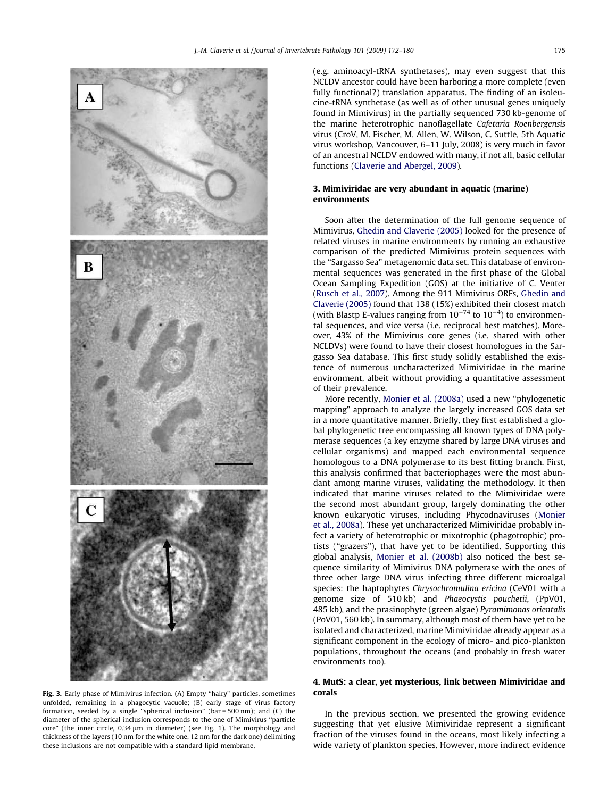<span id="page-3-0"></span>

Fig. 3. Early phase of Mimivirus infection. (A) Empty ''hairy" particles, sometimes unfolded, remaining in a phagocytic vacuole; (B) early stage of virus factory formation, seeded by a single ''spherical inclusion" (bar = 500 nm); and (C) the diameter of the spherical inclusion corresponds to the one of Mimivirus ''particle core" (the inner circle,  $0.34 \mu m$  in diameter) (see Fig. 1). The morphology and thickness of the layers (10 nm for the white one, 12 nm for the dark one) delimiting these inclusions are not compatible with a standard lipid membrane.

(e.g. aminoacyl-tRNA synthetases), may even suggest that this NCLDV ancestor could have been harboring a more complete (even fully functional?) translation apparatus. The finding of an isoleucine-tRNA synthetase (as well as of other unusual genes uniquely found in Mimivirus) in the partially sequenced 730 kb-genome of the marine heterotrophic nanoflagellate Cafetaria Roenbergensis virus (CroV, M. Fischer, M. Allen, W. Wilson, C. Suttle, 5th Aquatic virus workshop, Vancouver, 6–11 July, 2008) is very much in favor of an ancestral NCLDV endowed with many, if not all, basic cellular functions [\(Claverie and Abergel, 2009](#page-7-0)).

## 3. Mimiviridae are very abundant in aquatic (marine) environments

Soon after the determination of the full genome sequence of Mimivirus, [Ghedin and Claverie \(2005\)](#page-7-0) looked for the presence of related viruses in marine environments by running an exhaustive comparison of the predicted Mimivirus protein sequences with the ''Sargasso Sea" metagenomic data set. This database of environmental sequences was generated in the first phase of the Global Ocean Sampling Expedition (GOS) at the initiative of C. Venter ([Rusch et al., 2007\)](#page-8-0). Among the 911 Mimivirus ORFs, [Ghedin and](#page-7-0) [Claverie \(2005\)](#page-7-0) found that 138 (15%) exhibited their closest match (with Blastp E-values ranging from  $10^{-74}$  to  $10^{-4}$ ) to environmental sequences, and vice versa (i.e. reciprocal best matches). Moreover, 43% of the Mimivirus core genes (i.e. shared with other NCLDVs) were found to have their closest homologues in the Sargasso Sea database. This first study solidly established the existence of numerous uncharacterized Mimiviridae in the marine environment, albeit without providing a quantitative assessment of their prevalence.

More recently, [Monier et al. \(2008a\)](#page-8-0) used a new ''phylogenetic mapping" approach to analyze the largely increased GOS data set in a more quantitative manner. Briefly, they first established a global phylogenetic tree encompassing all known types of DNA polymerase sequences (a key enzyme shared by large DNA viruses and cellular organisms) and mapped each environmental sequence homologous to a DNA polymerase to its best fitting branch. First, this analysis confirmed that bacteriophages were the most abundant among marine viruses, validating the methodology. It then indicated that marine viruses related to the Mimiviridae were the second most abundant group, largely dominating the other known eukaryotic viruses, including Phycodnaviruses [\(Monier](#page-8-0) [et al., 2008a\)](#page-8-0). These yet uncharacterized Mimiviridae probably infect a variety of heterotrophic or mixotrophic (phagotrophic) protists (''grazers"), that have yet to be identified. Supporting this global analysis, [Monier et al. \(2008b\)](#page-8-0) also noticed the best sequence similarity of Mimivirus DNA polymerase with the ones of three other large DNA virus infecting three different microalgal species: the haptophytes Chrysochromulina ericina (CeV01 with a genome size of 510 kb) and Phaeocystis pouchetii, (PpV01, 485 kb), and the prasinophyte (green algae) Pyramimonas orientalis (PoV01, 560 kb). In summary, although most of them have yet to be isolated and characterized, marine Mimiviridae already appear as a significant component in the ecology of micro- and pico-plankton populations, throughout the oceans (and probably in fresh water environments too).

## 4. MutS: a clear, yet mysterious, link between Mimiviridae and corals

In the previous section, we presented the growing evidence suggesting that yet elusive Mimiviridae represent a significant fraction of the viruses found in the oceans, most likely infecting a wide variety of plankton species. However, more indirect evidence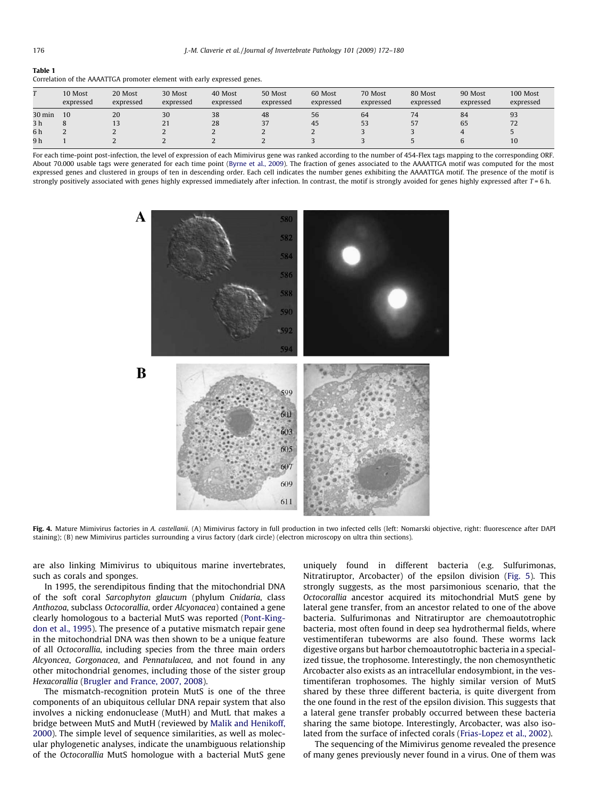#### <span id="page-4-0"></span>Table 1

| Correlation of the AAAATTGA promoter element with early expressed genes. |  |  |
|--------------------------------------------------------------------------|--|--|
|                                                                          |  |  |

|                | 10 Most<br>expressed | 20 Most<br>expressed | 30 Most<br>expressed | 40 Most<br>expressed | 50 Most<br>expressed | 60 Most<br>expressed | 70 Most<br>expressed | 80 Most<br>expressed | 90 Most<br>expressed | 100 Most<br>expressed |
|----------------|----------------------|----------------------|----------------------|----------------------|----------------------|----------------------|----------------------|----------------------|----------------------|-----------------------|
| 30 min         | 10                   | 20                   | 30                   | 38                   | 48                   | 56                   | 64                   |                      | 84                   | 93                    |
| 3 <sub>h</sub> |                      |                      | 21                   | 28                   | 37                   | 45                   | 53                   | 57<br>، ب            | 65                   | 72                    |
| 6h             |                      |                      |                      |                      |                      |                      |                      |                      |                      |                       |
| 9 h            |                      |                      |                      |                      |                      |                      |                      |                      |                      | 10                    |

For each time-point post-infection, the level of expression of each Mimivirus gene was ranked according to the number of 454-Flex tags mapping to the corresponding ORF. About 70.000 usable tags were generated for each time point ([Byrne et al., 2009](#page-7-0)). The fraction of genes associated to the AAAATTGA motif was computed for the most expressed genes and clustered in groups of ten in descending order. Each cell indicates the number genes exhibiting the AAAATTGA motif. The presence of the motif is strongly positively associated with genes highly expressed immediately after infection. In contrast, the motif is strongly avoided for genes highly expressed after  $T = 6$  h.



Fig. 4. Mature Mimivirus factories in A. castellanii. (A) Mimivirus factory in full production in two infected cells (left: Nomarski objective, right: fluorescence after DAPI staining); (B) new Mimivirus particles surrounding a virus factory (dark circle) (electron microscopy on ultra thin sections).

are also linking Mimivirus to ubiquitous marine invertebrates, such as corals and sponges.

In 1995, the serendipitous finding that the mitochondrial DNA of the soft coral Sarcophyton glaucum (phylum Cnidaria, class Anthozoa, subclass Octocorallia, order Alcyonacea) contained a gene clearly homologous to a bacterial MutS was reported ([Pont-King](#page-8-0)[don et al., 1995](#page-8-0)). The presence of a putative mismatch repair gene in the mitochondrial DNA was then shown to be a unique feature of all Octocorallia, including species from the three main orders Alcyoncea, Gorgonacea, and Pennatulacea, and not found in any other mitochondrial genomes, including those of the sister group Hexacorallia [\(Brugler and France, 2007, 2008\)](#page-7-0).

The mismatch-recognition protein MutS is one of the three components of an ubiquitous cellular DNA repair system that also involves a nicking endonuclease (MutH) and MutL that makes a bridge between MutS and MutH (reviewed by [Malik and Henikoff,](#page-8-0) [2000\)](#page-8-0). The simple level of sequence similarities, as well as molecular phylogenetic analyses, indicate the unambiguous relationship of the Octocorallia MutS homologue with a bacterial MutS gene uniquely found in different bacteria (e.g. Sulfurimonas, Nitratiruptor, Arcobacter) of the epsilon division ([Fig. 5](#page-5-0)). This strongly suggests, as the most parsimonious scenario, that the Octocorallia ancestor acquired its mitochondrial MutS gene by lateral gene transfer, from an ancestor related to one of the above bacteria. Sulfurimonas and Nitratiruptor are chemoautotrophic bacteria, most often found in deep sea hydrothermal fields, where vestimentiferan tubeworms are also found. These worms lack digestive organs but harbor chemoautotrophic bacteria in a specialized tissue, the trophosome. Interestingly, the non chemosynthetic Arcobacter also exists as an intracellular endosymbiont, in the vestimentiferan trophosomes. The highly similar version of MutS shared by these three different bacteria, is quite divergent from the one found in the rest of the epsilon division. This suggests that a lateral gene transfer probably occurred between these bacteria sharing the same biotope. Interestingly, Arcobacter, was also isolated from the surface of infected corals ([Frias-Lopez et al., 2002\)](#page-7-0).

The sequencing of the Mimivirus genome revealed the presence of many genes previously never found in a virus. One of them was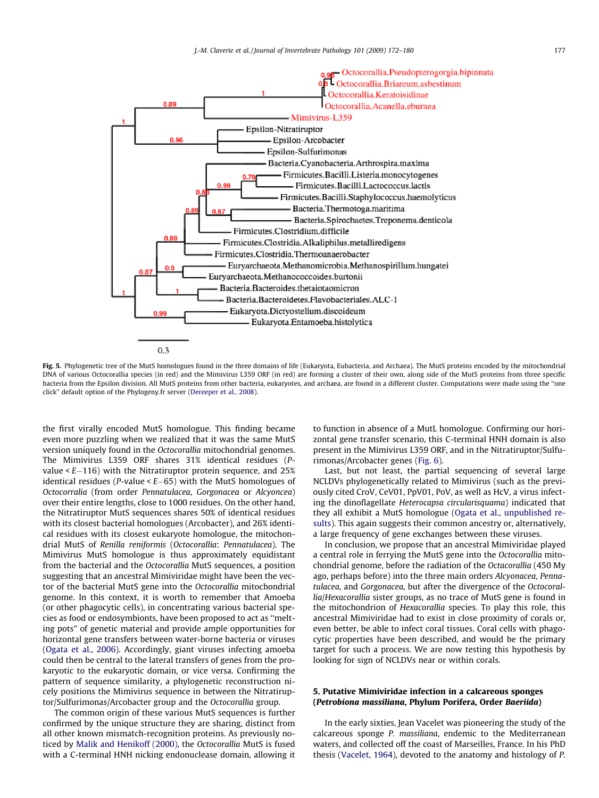<span id="page-5-0"></span>

Fig. 5. Phylogenetic tree of the MutS homologues found in the three domains of life (Eukaryota, Eubacteria, and Archaea). The MutS proteins encoded by the mitochondrial DNA of various Octocorallia species (in red) and the Mimivirus L359 ORF (in red) are forming a cluster of their own, along side of the MutS proteins from three specific bacteria from the Epsilon division. All MutS proteins from other bacteria, eukaryotes, and archaea, are found in a different cluster. Computations were made using the ''one click" default option of the Phylogeny.fr server ([Dereeper et al., 2008\)](#page-7-0).

the first virally encoded MutS homologue. This finding became even more puzzling when we realized that it was the same MutS version uniquely found in the Octocorallia mitochondrial genomes. The Mimivirus L359 ORF shares 31% identical residues (Pvalue < E-116) with the Nitratiruptor protein sequence, and 25% identical residues (P-value < E-65) with the MutS homologues of Octocorralia (from order Pennatulacea, Gorgonacea or Alcyoncea) over their entire lengths, close to 1000 residues. On the other hand, the Nitratiruptor MutS sequences shares 50% of identical residues with its closest bacterial homologues (Arcobacter), and 26% identical residues with its closest eukaryote homologue, the mitochondrial MutS of Renilla reniformis (Octocorallia: Pennatulacea). The Mimivirus MutS homologue is thus approximately equidistant from the bacterial and the Octocorallia MutS sequences, a position suggesting that an ancestral Mimiviridae might have been the vector of the bacterial MutS gene into the Octocorallia mitochondrial genome. In this context, it is worth to remember that Amoeba (or other phagocytic cells), in concentrating various bacterial species as food or endosymbionts, have been proposed to act as ''melting pots" of genetic material and provide ample opportunities for horizontal gene transfers between water-borne bacteria or viruses ([Ogata et al., 2006](#page-8-0)). Accordingly, giant viruses infecting amoeba could then be central to the lateral transfers of genes from the prokaryotic to the eukaryotic domain, or vice versa. Confirming the pattern of sequence similarity, a phylogenetic reconstruction nicely positions the Mimivirus sequence in between the Nitratiruptor/Sulfurimonas/Arcobacter group and the Octocorallia group.

The common origin of these various MutS sequences is further confirmed by the unique structure they are sharing, distinct from all other known mismatch-recognition proteins. As previously noticed by [Malik and Henikoff \(2000\)](#page-8-0), the Octocorallia MutS is fused with a C-terminal HNH nicking endonuclease domain, allowing it to function in absence of a MutL homologue. Confirming our horizontal gene transfer scenario, this C-terminal HNH domain is also present in the Mimivirus L359 ORF, and in the Nitratiruptor/Sulfurimonas/Arcobacter genes ([Fig. 6](#page-6-0)).

Last, but not least, the partial sequencing of several large NCLDVs phylogenetically related to Mimivirus (such as the previously cited CroV, CeV01, PpV01, PoV, as well as HcV, a virus infecting the dinoflagellate Heterocapsa circularisquama) indicated that they all exhibit a MutS homologue [\(Ogata et al., unpublished re](#page-8-0)[sults](#page-8-0)). This again suggests their common ancestry or, alternatively, a large frequency of gene exchanges between these viruses.

In conclusion, we propose that an ancestral Mimiviridae played a central role in ferrying the MutS gene into the Octocorallia mitochondrial genome, before the radiation of the Octacorallia (450 My ago, perhaps before) into the three main orders Alcyonacea, Pennatulacea, and Gorgonacea, but after the divergence of the Octocorallia/Hexacorallia sister groups, as no trace of MutS gene is found in the mitochondrion of Hexacorallia species. To play this role, this ancestral Mimiviridae had to exist in close proximity of corals or, even better, be able to infect coral tissues. Coral cells with phagocytic properties have been described, and would be the primary target for such a process. We are now testing this hypothesis by looking for sign of NCLDVs near or within corals.

## 5. Putative Mimiviridae infection in a calcareous sponges (Petrobiona massiliana, Phylum Porifera, Order Baeriida)

In the early sixties, Jean Vacelet was pioneering the study of the calcareous sponge P. massiliana, endemic to the Mediterranean waters, and collected off the coast of Marseilles, France. In his PhD thesis [\(Vacelet, 1964\)](#page-8-0), devoted to the anatomy and histology of P.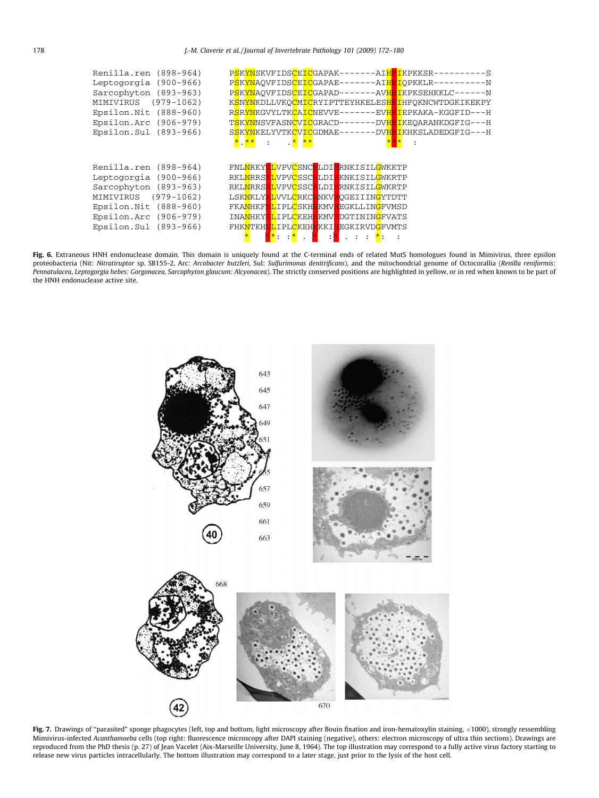<span id="page-6-0"></span>

| Renilla.ren (898-964)<br>Leptogorgia (900-966)<br>Sarcophyton (893-963)<br>MIMIVIRUS (979-1062)<br>Epsilon. Nit (888-960)<br>Epsilon.Arc (906-979)<br>Epsilon.Sul (893-966) | PSKYNSKVFIDSCEICGAPAK-------AIHHIKPKKSR----------S<br>PSKYNAOVFIDSCEICGAPAE-------AIHHIOPKKLR----------N<br>PSKYNAOVFIDSCEICGAPAD-------AVHHIKPKSEHKKLC------N<br>K <mark>SNYN</mark> KDLLVKO <mark>CMIC</mark> RYIPTTEYHKELESHHIHFOKNCWTDGKIKEKPY<br>RSRYNKGVYLTKCAICNEVVE-------EVHHIEPKAKA-KGGFID---H<br>T <mark>SKYN</mark> NSVFASN <mark>C</mark> VICGRACD-------DVH <mark>HI</mark> KEOARANKDGFIG---H<br>SSKYNKELYVTKCVICGDMAE-------DVHHIKHKSLADEDGFIG---H<br><mark>*、**</mark> : <mark>* **</mark><br>$\ddot{\phantom{a}}$ |
|-----------------------------------------------------------------------------------------------------------------------------------------------------------------------------|------------------------------------------------------------------------------------------------------------------------------------------------------------------------------------------------------------------------------------------------------------------------------------------------------------------------------------------------------------------------------------------------------------------------------------------------------------------------------------------------------------------------------------|
| Renilla.ren (898-964)<br>Leptogorgia (900-966)<br>Sarcophyton (893-963)<br>MIMIVIRUS (979-1062)<br>Epsilon. Nit (888-960)<br>Epsilon.Arc (906-979)<br>Epsilon.Sul (893-966) | FNL <mark>N</mark> RKY <mark>NL</mark> VPVCSNCHLDIHRNKISILGWKKTP<br>RKLNRRSNLVPVCSSCHLDIHKNKISILGWKRTP<br>RKL <mark>NRRSNL</mark> VPVCSSCHLDIHRNKISILGWKRTP<br>LSKNKLYNLVVLCRKCHNKVHQGEIIINGYTDTT<br>FKANHKFNLIPLCSKHHKMVHEGKLLINGFVMSD<br>INANHKYNLIPLCKEHHKMVHDGTININGFVATS<br>FHKNTKHNLIPLCKEHHKKIHEGKIRVDGFVMTS<br><b>A</b> <sub>*</sub><br>$\cdot^{\star}$<br>. <mark>*</mark> :<br>÷                                                                                                                                         |

Fig. 6. Extraneous HNH endonuclease domain. This domain is uniquely found at the C-terminal ends of related MutS homologues found in Mimivirus, three epsilon proteobacteria (Nit: Nitratiruptor sp. SB155-2, Arc: Arcobacter butzleri, Sul: Sulfurimonas denitrificans), and the mitochondrial genome of Octocorallia (Renilla reniformis: Pennatulacea, Leptogorgia hebes: Gorgonacea, Sarcophyton glaucum: Alcyonacea). The strictly conserved positions are highlighted in yellow, or in red when known to be part of the HNH endonuclease active site.



Fig. 7. Drawings of "parasited" sponge phagocytes (left, top and bottom, light microscopy after Bouin fixation and iron-hematoxylin staining,  $\times$ 1000), strongly ressembling Mimivirus-infected Acanthamoeba cells (top right: fluorescence microscopy after DAPI staining (negative), others: electron microscopy of ultra thin sections). Drawings are reproduced from the PhD thesis (p. 27) of Jean Vacelet (Aix-Marseille University, June 8, 1964). The top illustration may correspond to a fully active virus factory starting to release new virus particles intracellularly. The bottom illustration may correspond to a later stage, just prior to the lysis of the host cell.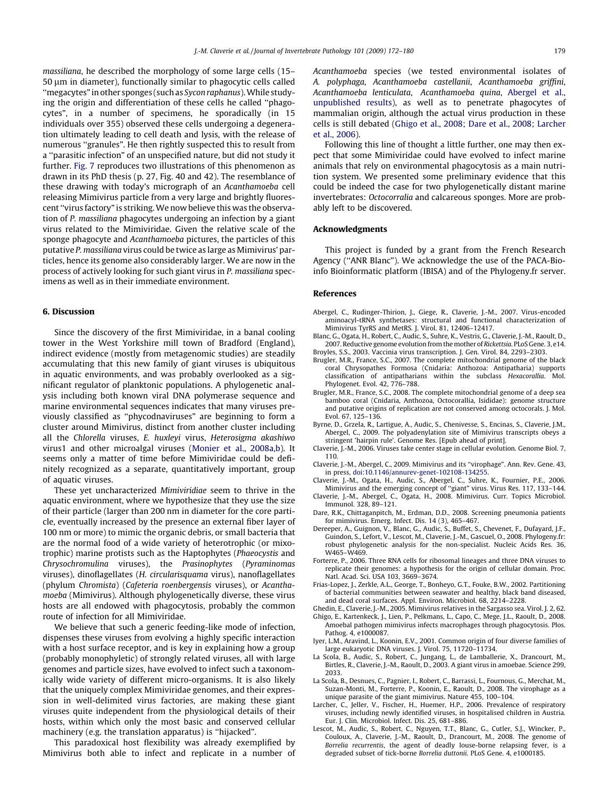<span id="page-7-0"></span>massiliana, he described the morphology of some large cells (15– 50 um in diameter), functionally similar to phagocytic cells called ''megacytes" in other sponges (such as Sycon raphanus).While studying the origin and differentiation of these cells he called ''phagocytes", in a number of specimens, he sporadically (in 15 individuals over 355) observed these cells undergoing a degeneration ultimately leading to cell death and lysis, with the release of numerous "granules". He then rightly suspected this to result from a ''parasitic infection" of an unspecified nature, but did not study it further. [Fig. 7](#page-6-0) reproduces two illustrations of this phenomenon as drawn in its PhD thesis (p. 27, Fig. 40 and 42). The resemblance of these drawing with today's micrograph of an Acanthamoeba cell releasing Mimivirus particle from a very large and brightly fluorescent ''virus factory" is striking.We now believe this was the observation of P. massiliana phagocytes undergoing an infection by a giant virus related to the Mimiviridae. Given the relative scale of the sponge phagocyte and Acanthamoeba pictures, the particles of this putative P. massiliana virus could be twice as large as Mimivirus' particles, hence its genome also considerably larger. We are now in the process of actively looking for such giant virus in P. massiliana specimens as well as in their immediate environment.

#### 6. Discussion

Since the discovery of the first Mimiviridae, in a banal cooling tower in the West Yorkshire mill town of Bradford (England), indirect evidence (mostly from metagenomic studies) are steadily accumulating that this new family of giant viruses is ubiquitous in aquatic environments, and was probably overlooked as a significant regulator of planktonic populations. A phylogenetic analysis including both known viral DNA polymerase sequence and marine environmental sequences indicates that many viruses previously classified as ''phycodnaviruses" are beginning to form a cluster around Mimivirus, distinct from another cluster including all the Chlorella viruses, E. huxleyi virus, Heterosigma akashiwo virus1 and other microalgal viruses [\(Monier et al., 2008a,b\)](#page-8-0). It seems only a matter of time before Mimiviridae could be definitely recognized as a separate, quantitatively important, group of aquatic viruses.

These yet uncharacterized Mimiviridiae seem to thrive in the aquatic environment, where we hypothesize that they use the size of their particle (larger than 200 nm in diameter for the core particle, eventually increased by the presence an external fiber layer of 100 nm or more) to mimic the organic debris, or small bacteria that are the normal food of a wide variety of heterotrophic (or mixotrophic) marine protists such as the Haptophytes (Phaeocystis and Chrysochromulina viruses), the Prasinophytes (Pyraminomas viruses), dinoflagellates (H. circularisquama virus), nanoflagellates (phylum Chromista) (Cafeteria roenbergensis viruses), or Acanthamoeba (Mimivirus). Although phylogenetically diverse, these virus hosts are all endowed with phagocytosis, probably the common route of infection for all Mimiviridae.

We believe that such a generic feeding-like mode of infection, dispenses these viruses from evolving a highly specific interaction with a host surface receptor, and is key in explaining how a group (probably monophyletic) of strongly related viruses, all with large genomes and particle sizes, have evolved to infect such a taxonomically wide variety of different micro-organisms. It is also likely that the uniquely complex Mimiviridae genomes, and their expression in well-delimited virus factories, are making these giant viruses quite independent from the physiological details of their hosts, within which only the most basic and conserved cellular machinery (e.g. the translation apparatus) is ''hijacked".

This paradoxical host flexibility was already exemplified by Mimivirus both able to infect and replicate in a number of Acanthamoeba species (we tested environmental isolates of A. polyphaga, Acanthamoeba castellanii, Acanthamoeba griffini, Acanthamoeba lenticulata, Acanthamoeba quina, Abergel et al., unpublished results), as well as to penetrate phagocytes of mammalian origin, although the actual virus production in these cells is still debated (Ghigo et al., 2008; Dare et al., 2008; Larcher et al., 2006).

Following this line of thought a little further, one may then expect that some Mimiviridae could have evolved to infect marine animals that rely on environmental phagocytosis as a main nutrition system. We presented some preliminary evidence that this could be indeed the case for two phylogenetically distant marine invertebrates: Octocorralia and calcareous sponges. More are probably left to be discovered.

#### Acknowledgments

This project is funded by a grant from the French Research Agency (''ANR Blanc"). We acknowledge the use of the PACA-Bioinfo Bioinformatic platform (IBISA) and of the Phylogeny.fr server.

#### References

- Abergel, C., Rudinger-Thirion, J., Giege, R., Claverie, J.-M., 2007. Virus-encoded aminoacyl-tRNA synthetases: structural and functional characterization of Mimivirus TyrRS and MetRS. J. Virol. 81, 12406–12417.
- Blanc, G., Ogata, H., Robert, C., Audic, S., Suhre, K., Vestris, G., Claverie, J.-M., Raoult, D., 2007. Reductive genome evolution from the mother of Rickettsia. PLoS Gene. 3, e14. Broyles, S.S., 2003. Vaccinia virus transcription. J. Gen. Virol. 84, 2293–2303.
- Brugler, M.R., France, S.C., 2007. The complete mitochondrial genome of the black coral Chrysopathes Formosa (Cnidaria: Anthozoa: Antipatharia) supports classification of antipatharians within the subclass Hexacorallia. Mol. Phylogenet. Evol. 42, 776–788.
- Brugler, M.R., France, S.C., 2008. The complete mitochondrial genome of a deep sea bamboo coral (Cnidaria, Anthozoa, Octocorallia, Isididae): genome structure and putative origins of replication are not conserved among octocorals. J. Mol. Evol. 67, 125–136.
- Byrne, D., Grzela, R., Lartigue, A., Audic, S., Chenivesse, S., Encinas, S., Claverie, J.M., Abergel, C., 2009. The polyadenylation site of Mimivirus transcripts obeys a stringent 'hairpin rule'. Genome Res. [Epub ahead of print].
- Claverie, J.-M., 2006. Viruses take center stage in cellular evolution. Genome Biol. 7, 110.
- Claverie, J.-M., Abergel, C., 2009. Mimivirus and its ''virophage". Ann. Rev. Gene. 43, in press, [doi:10.1146/annurev-genet-102108-134255.](http://dx.doi.org/10.1146/annurev-genet-102108-134255)
- Claverie, J.-M., Ogata, H., Audic, S., Abergel, C., Suhre, K., Fournier, P.E., 2006. Mimivirus and the emerging concept of ''giant" virus. Virus Res. 117, 133–144.
- Claverie, J.-M., Abergel, C., Ogata, H., 2008. Mimivirus. Curr. Topics Microbiol. Immunol. 328, 89–121.
- Dare, R.K., Chittaganpitch, M., Erdman, D.D., 2008. Screening pneumonia patients for mimivirus. Emerg. Infect. Dis. 14 (3), 465–467.
- Dereeper, A., Guignon, V., Blanc, G., Audic, S., Buffet, S., Chevenet, F., Dufayard, J.F., Guindon, S., Lefort, V., Lescot, M., Claverie, J.-M., Gascuel, O., 2008. Phylogeny.fr: robust phylogenetic analysis for the non-specialist. Nucleic Acids Res. 36, W465-W469
- Forterre, P., 2006. Three RNA cells for ribosomal lineages and three DNA viruses to replicate their genomes: a hypothesis for the origin of cellular domain. Proc. Natl. Acad. Sci. USA 103, 3669–3674.
- Frias-Lopez, J., Zerkle, A.L., George, T., Bonheyo, G.T., Fouke, B.W., 2002. Partitioning of bacterial communities between seawater and healthy, black band diseased, and dead coral surfaces. Appl. Environ. Microbiol. 68, 2214–2228.
- Ghedin, E., Claverie, J.-M., 2005. Mimivirus relatives in the Sargasso sea. Virol. J. 2, 62.
- Ghigo, E., Kartenkeck, J., Lien, P., Pelkmans, L., Capo, C., Mege, J.L., Raoult, D., 2008. Amoebal pathogen mimivirus infects macrophages through phagocytosis. Plos. Pathog. 4, e1000087.
- Iyer, L.M., Aravind, L., Koonin, E.V., 2001. Common origin of four diverse families of large eukaryotic DNA viruses. J. Virol. 75, 11720–11734.
- La Scola, B., Audic, S., Robert, C., Jungang, L., de Lamballerie, X., Drancourt, M., Birtles, R., Claverie, J.-M., Raoult, D., 2003. A giant virus in amoebae. Science 299, 2033.
- La Scola, B., Desnues, C., Pagnier, I., Robert, C., Barrassi, L., Fournous, G., Merchat, M., Suzan-Monti, M., Forterre, P., Koonin, E., Raoult, D., 2008. The virophage as a unique parasite of the giant mimivirus. Nature 455, 100–104.
- Larcher, C., Jeller, V., Fischer, H., Huemer, H.P., 2006. Prevalence of respiratory viruses, including newly identified viruses, in hospitalised children in Austria. Eur. J. Clin. Microbiol. Infect. Dis. 25, 681–886.
- Lescot, M., Audic, S., Robert, C., Nguyen, T.T., Blanc, G., Cutler, S.J., Wincker, P., Couloux, A., Claverie, J.-M., Raoult, D., Drancourt, M., 2008. The genome of Borrelia recurrentis, the agent of deadly louse-borne relapsing fever, is a degraded subset of tick-borne Borrelia duttonii. PLoS Gene. 4, e1000185.